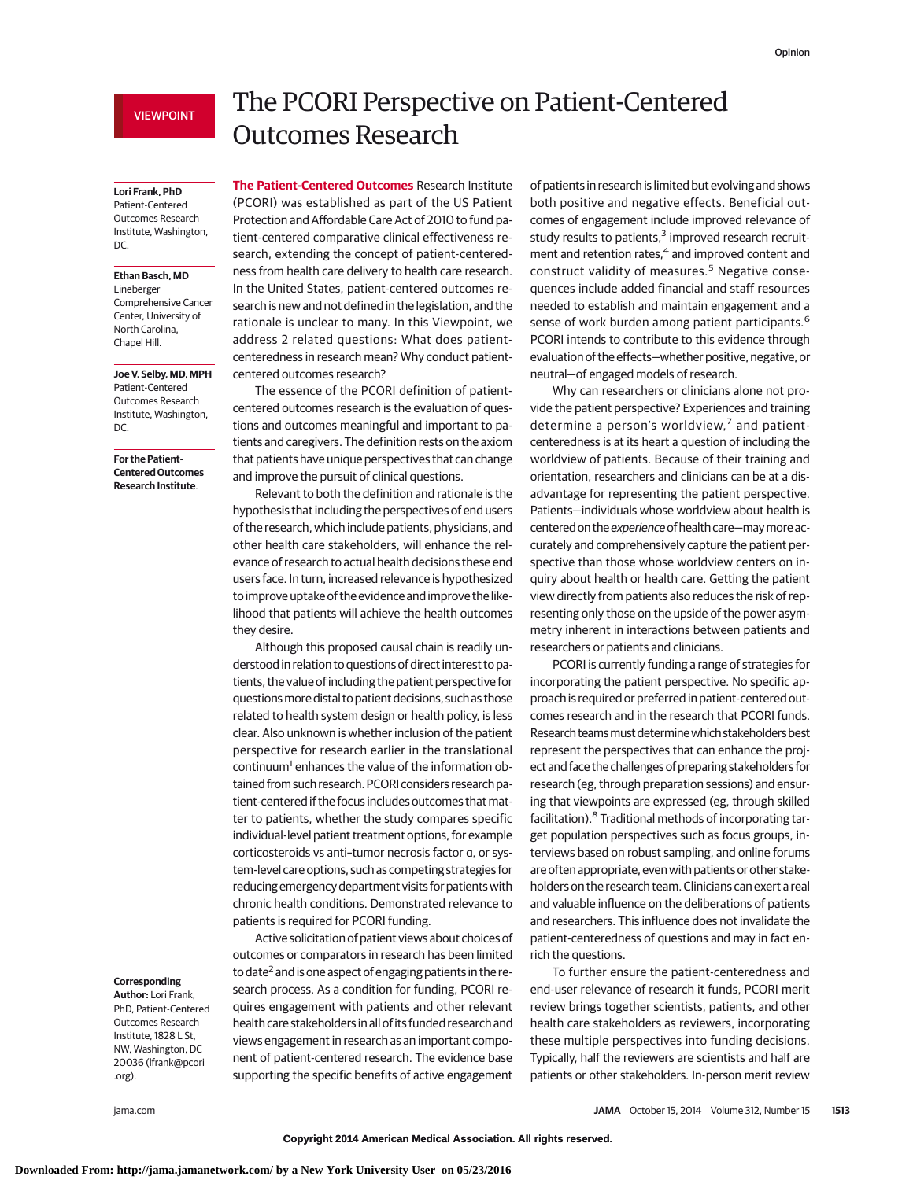## VIEWPOINT

#### **Lori Frank, PhD**

Patient-Centered Outcomes Research Institute, Washington, DC.

## **Ethan Basch, MD**

Lineberger Comprehensive Cancer Center, University of North Carolina, Chapel Hill.

**Joe V. Selby, MD, MPH** Patient-Centered Outcomes Research Institute, Washington, DC.

## **For the Patient-Centered Outcomes Research Institute**.

## **Corresponding**

**Author:** Lori Frank, PhD, Patient-Centered Outcomes Research Institute, 1828 L St, NW, Washington, DC 20036 (lfrank@pcori .org).

# The PCORI Perspective on Patient-Centered Outcomes Research

**The Patient-Centered Outcomes** Research Institute (PCORI) was established as part of the US Patient Protection and Affordable Care Act of 2010 to fund patient-centered comparative clinical effectiveness research, extending the concept of patient-centeredness from health care delivery to health care research. In the United States, patient-centered outcomes research is new and not defined in the legislation, and the rationale is unclear to many. In this Viewpoint, we address 2 related questions: What does patientcenteredness in research mean? Why conduct patientcentered outcomes research?

The essence of the PCORI definition of patientcentered outcomes research is the evaluation of questions and outcomes meaningful and important to patients and caregivers. The definition rests on the axiom that patients have unique perspectives that can change and improve the pursuit of clinical questions.

Relevant to both the definition and rationale is the hypothesis that including the perspectives of end users of the research, which include patients, physicians, and other health care stakeholders, will enhance the relevance of research to actual health decisions these end users face. In turn, increased relevance is hypothesized to improve uptake of the evidence and improve the likelihood that patients will achieve the health outcomes they desire.

Although this proposed causal chain is readily understood in relation to questions of direct interest to patients, the value of including the patient perspective for questionsmore distal to patient decisions, such as those related to health system design or health policy, is less clear. Also unknown is whether inclusion of the patient perspective for research earlier in the translational continuum<sup>1</sup> enhances the value of the information obtained from such research. PCORI considers research patient-centered if the focus includes outcomes that matter to patients, whether the study compares specific individual-level patient treatment options, for example corticosteroids vs anti–tumor necrosis factor α, or system-level care options, such as competing strategies for reducing emergency department visits for patients with chronic health conditions. Demonstrated relevance to patients is required for PCORI funding.

Active solicitation of patient views about choices of outcomes or comparators in research has been limited to date<sup>2</sup> and is one aspect of engaging patients in the research process. As a condition for funding, PCORI requires engagement with patients and other relevant health care stakeholders in all of its funded research and views engagement in research as an important component of patient-centered research. The evidence base supporting the specific benefits of active engagement of patients in research is limited but evolving and shows both positive and negative effects. Beneficial outcomes of engagement include improved relevance of study results to patients,<sup>3</sup> improved research recruitment and retention rates,<sup>4</sup> and improved content and construct validity of measures.<sup>5</sup> Negative consequences include added financial and staff resources needed to establish and maintain engagement and a sense of work burden among patient participants.<sup>6</sup> PCORI intends to contribute to this evidence through evaluation of the effects—whether positive, negative, or neutral—of engaged models of research.

Why can researchers or clinicians alone not provide the patient perspective? Experiences and training determine a person's worldview,<sup>7</sup> and patientcenteredness is at its heart a question of including the worldview of patients. Because of their training and orientation, researchers and clinicians can be at a disadvantage for representing the patient perspective. Patients—individuals whose worldview about health is centered on the experience of health care—may more accurately and comprehensively capture the patient perspective than those whose worldview centers on inquiry about health or health care. Getting the patient view directly from patients also reduces the risk of representing only those on the upside of the power asymmetry inherent in interactions between patients and researchers or patients and clinicians.

PCORI is currently funding a range of strategies for incorporating the patient perspective. No specific approach is required or preferred in patient-centered outcomes research and in the research that PCORI funds. Research teamsmust determinewhich stakeholders best represent the perspectives that can enhance the project and face the challenges of preparing stakeholders for research (eg, through preparation sessions) and ensuring that viewpoints are expressed (eg, through skilled facilitation).<sup>8</sup> Traditional methods of incorporating target population perspectives such as focus groups, interviews based on robust sampling, and online forums are often appropriate, even with patients or other stakeholders on the research team. Clinicians can exert a real and valuable influence on the deliberations of patients and researchers. This influence does not invalidate the patient-centeredness of questions and may in fact enrich the questions.

To further ensure the patient-centeredness and end-user relevance of research it funds, PCORI merit review brings together scientists, patients, and other health care stakeholders as reviewers, incorporating these multiple perspectives into funding decisions. Typically, half the reviewers are scientists and half are patients or other stakeholders. In-person merit review